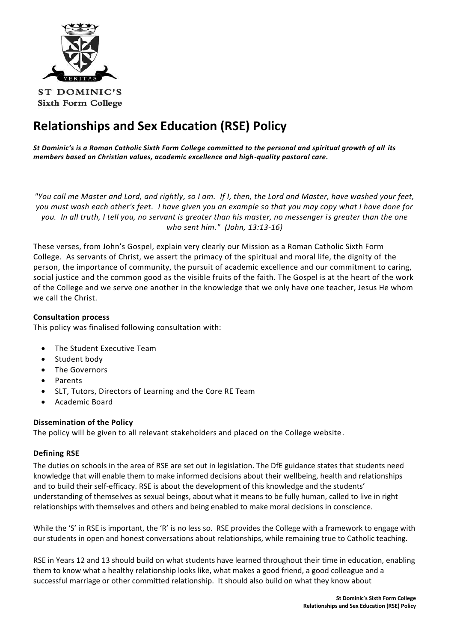

# **Relationships and Sex Education (RSE) Policy**

*St Dominic's is a Roman Catholic Sixth Form College committed to the personal and spiritual growth of all its members based on Christian values, academic excellence and high-quality pastoral care.*

*"You call me Master and Lord, and rightly, so I am. If I, then, the Lord and Master, have washed your feet, you must wash each other's feet. I have given you an example so that you may copy what I have done for you. In all truth, I tell you, no servant is greater than his master, no messenger is greater than the one who sent him." (John, 13:13-16)*

These verses, from John's Gospel, explain very clearly our Mission as a Roman Catholic Sixth Form College. As servants of Christ, we assert the primacy of the spiritual and moral life, the dignity of the person, the importance of community, the pursuit of academic excellence and our commitment to caring, social justice and the common good as the visible fruits of the faith. The Gospel is at the heart of the work of the College and we serve one another in the knowledge that we only have one teacher, Jesus He whom we call the Christ.

# **Consultation process**

This policy was finalised following consultation with:

- The Student Executive Team
- Student body
- The Governors
- Parents
- SLT, Tutors, Directors of Learning and the Core RE Team
- Academic Board

# **Dissemination of the Policy**

The policy will be given to all relevant stakeholders and placed on the College website.

# **Defining RSE**

The duties on schools in the area of RSE are set out in legislation. The DfE guidance states that students need knowledge that will enable them to make informed decisions about their wellbeing, health and relationships and to build their self-efficacy. RSE is about the development of this knowledge and the students' understanding of themselves as sexual beings, about what it means to be fully human, called to live in right relationships with themselves and others and being enabled to make moral decisions in conscience.

While the 'S' in RSE is important, the 'R' is no less so. RSE provides the College with a framework to engage with our students in open and honest conversations about relationships, while remaining true to Catholic teaching.

RSE in Years 12 and 13 should build on what students have learned throughout their time in education, enabling them to know what a healthy relationship looks like, what makes a good friend, a good colleague and a successful marriage or other committed relationship. It should also build on what they know about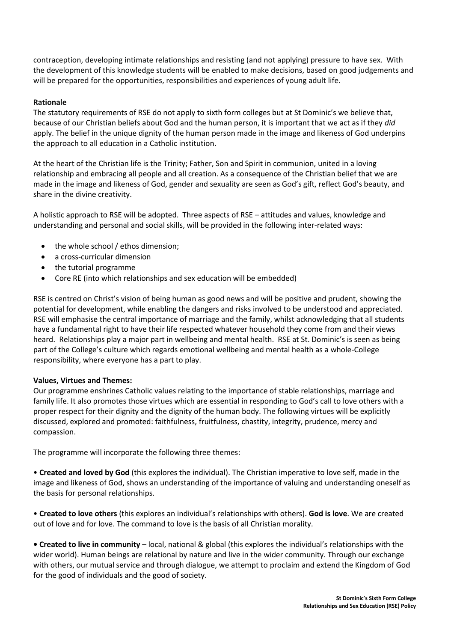contraception, developing intimate relationships and resisting (and not applying) pressure to have sex. With the development of this knowledge students will be enabled to make decisions, based on good judgements and will be prepared for the opportunities, responsibilities and experiences of young adult life.

### **Rationale**

The statutory requirements of RSE do not apply to sixth form colleges but at St Dominic's we believe that, because of our Christian beliefs about God and the human person, it is important that we act as if they *did* apply. The belief in the unique dignity of the human person made in the image and likeness of God underpins the approach to all education in a Catholic institution.

At the heart of the Christian life is the Trinity; Father, Son and Spirit in communion, united in a loving relationship and embracing all people and all creation. As a consequence of the Christian belief that we are made in the image and likeness of God, gender and sexuality are seen as God's gift, reflect God's beauty, and share in the divine creativity.

A holistic approach to RSE will be adopted. Three aspects of RSE – attitudes and values, knowledge and understanding and personal and social skills, will be provided in the following inter-related ways:

- the whole school / ethos dimension;
- a cross-curricular dimension
- the tutorial programme
- Core RE (into which relationships and sex education will be embedded)

RSE is centred on Christ's vision of being human as good news and will be positive and prudent, showing the potential for development, while enabling the dangers and risks involved to be understood and appreciated. RSE will emphasise the central importance of marriage and the family, whilst acknowledging that all students have a fundamental right to have their life respected whatever household they come from and their views heard. Relationships play a major part in wellbeing and mental health. RSE at St. Dominic's is seen as being part of the College's culture which regards emotional wellbeing and mental health as a whole-College responsibility, where everyone has a part to play.

#### **Values, Virtues and Themes:**

Our programme enshrines Catholic values relating to the importance of stable relationships, marriage and family life. It also promotes those virtues which are essential in responding to God's call to love others with a proper respect for their dignity and the dignity of the human body. The following virtues will be explicitly discussed, explored and promoted: faithfulness, fruitfulness, chastity, integrity, prudence, mercy and compassion.

The programme will incorporate the following three themes:

• **Created and loved by God** (this explores the individual). The Christian imperative to love self, made in the image and likeness of God, shows an understanding of the importance of valuing and understanding oneself as the basis for personal relationships.

• **Created to love others** (this explores an individual's relationships with others). **God is love**. We are created out of love and for love. The command to love is the basis of all Christian morality.

**• Created to live in community** – local, national & global (this explores the individual's relationships with the wider world). Human beings are relational by nature and live in the wider community. Through our exchange with others, our mutual service and through dialogue, we attempt to proclaim and extend the Kingdom of God for the good of individuals and the good of society.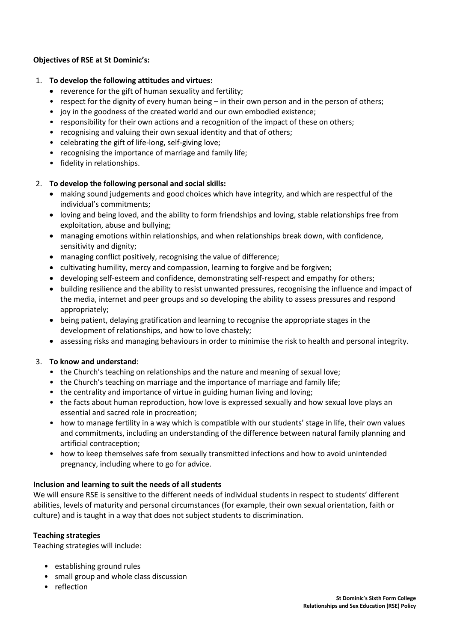# **Objectives of RSE at St Dominic's:**

### 1. **To develop the following attitudes and virtues:**

- reverence for the gift of human sexuality and fertility;
- respect for the dignity of every human being in their own person and in the person of others;
- joy in the goodness of the created world and our own embodied existence;
- responsibility for their own actions and a recognition of the impact of these on others;
- recognising and valuing their own sexual identity and that of others;
- celebrating the gift of life-long, self-giving love;
- recognising the importance of marriage and family life;
- fidelity in relationships.

# 2. **To develop the following personal and social skills:**

- making sound judgements and good choices which have integrity, and which are respectful of the individual's commitments;
- loving and being loved, and the ability to form friendships and loving, stable relationships free from exploitation, abuse and bullying;
- managing emotions within relationships, and when relationships break down, with confidence, sensitivity and dignity;
- managing conflict positively, recognising the value of difference;
- cultivating humility, mercy and compassion, learning to forgive and be forgiven;
- developing self-esteem and confidence, demonstrating self-respect and empathy for others;
- building resilience and the ability to resist unwanted pressures, recognising the influence and impact of the media, internet and peer groups and so developing the ability to assess pressures and respond appropriately;
- being patient, delaying gratification and learning to recognise the appropriate stages in the development of relationships, and how to love chastely;
- assessing risks and managing behaviours in order to minimise the risk to health and personal integrity.

# 3. **To know and understand**:

- the Church's teaching on relationships and the nature and meaning of sexual love;
- the Church's teaching on marriage and the importance of marriage and family life;
- the centrality and importance of virtue in guiding human living and loving;
- the facts about human reproduction, how love is expressed sexually and how sexual love plays an essential and sacred role in procreation;
- how to manage fertility in a way which is compatible with our students' stage in life, their own values and commitments, including an understanding of the difference between natural family planning and artificial contraception;
- how to keep themselves safe from sexually transmitted infections and how to avoid unintended pregnancy, including where to go for advice.

# **Inclusion and learning to suit the needs of all students**

We will ensure RSE is sensitive to the different needs of individual students in respect to students' different abilities, levels of maturity and personal circumstances (for example, their own sexual orientation, faith or culture) and is taught in a way that does not subject students to discrimination.

# **Teaching strategies**

Teaching strategies will include:

- establishing ground rules
- small group and whole class discussion
- reflection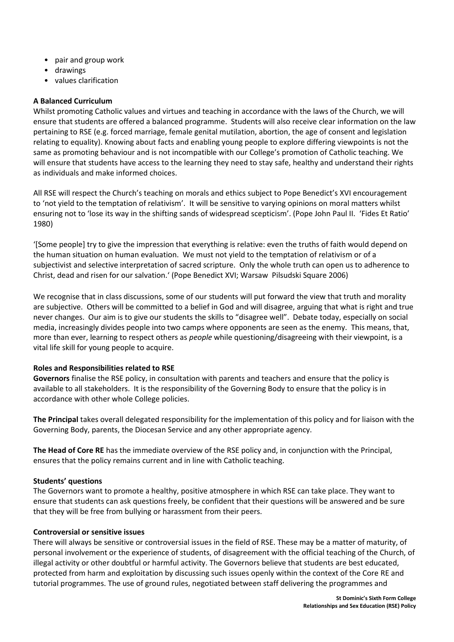- pair and group work
- drawings
- values clarification

### **A Balanced Curriculum**

Whilst promoting Catholic values and virtues and teaching in accordance with the laws of the Church, we will ensure that students are offered a balanced programme. Students will also receive clear information on the law pertaining to RSE (e.g. forced marriage, female genital mutilation, abortion, the age of consent and legislation relating to equality). Knowing about facts and enabling young people to explore differing viewpoints is not the same as promoting behaviour and is not incompatible with our College's promotion of Catholic teaching. We will ensure that students have access to the learning they need to stay safe, healthy and understand their rights as individuals and make informed choices.

All RSE will respect the Church's teaching on morals and ethics subject to Pope Benedict's XVI encouragement to 'not yield to the temptation of relativism'. It will be sensitive to varying opinions on moral matters whilst ensuring not to 'lose its way in the shifting sands of widespread scepticism'. (Pope John Paul II. 'Fides Et Ratio' 1980)

'[Some people] try to give the impression that everything is relative: even the truths of faith would depend on the human situation on human evaluation. We must not yield to the temptation of relativism or of a subjectivist and selective interpretation of sacred scripture. Only the whole truth can open us to adherence to Christ, dead and risen for our salvation.' (Pope Benedict XVI; Warsaw Pilsudski Square 2006)

We recognise that in class discussions, some of our students will put forward the view that truth and morality are subjective. Others will be committed to a belief in God and will disagree, arguing that what is right and true never changes. Our aim is to give our students the skills to "disagree well". Debate today, especially on social media, increasingly divides people into two camps where opponents are seen as the enemy. This means, that, more than ever, learning to respect others as *people* while questioning/disagreeing with their viewpoint, is a vital life skill for young people to acquire.

#### **Roles and Responsibilities related to RSE**

**Governors** finalise the RSE policy, in consultation with parents and teachers and ensure that the policy is available to all stakeholders. It is the responsibility of the Governing Body to ensure that the policy is in accordance with other whole College policies.

**The Principal** takes overall delegated responsibility for the implementation of this policy and for liaison with the Governing Body, parents, the Diocesan Service and any other appropriate agency.

**The Head of Core RE** has the immediate overview of the RSE policy and, in conjunction with the Principal, ensures that the policy remains current and in line with Catholic teaching.

#### **Students' questions**

The Governors want to promote a healthy, positive atmosphere in which RSE can take place. They want to ensure that students can ask questions freely, be confident that their questions will be answered and be sure that they will be free from bullying or harassment from their peers.

#### **Controversial or sensitive issues**

There will always be sensitive or controversial issues in the field of RSE. These may be a matter of maturity, of personal involvement or the experience of students, of disagreement with the official teaching of the Church, of illegal activity or other doubtful or harmful activity. The Governors believe that students are best educated, protected from harm and exploitation by discussing such issues openly within the context of the Core RE and tutorial programmes. The use of ground rules, negotiated between staff delivering the programmes and